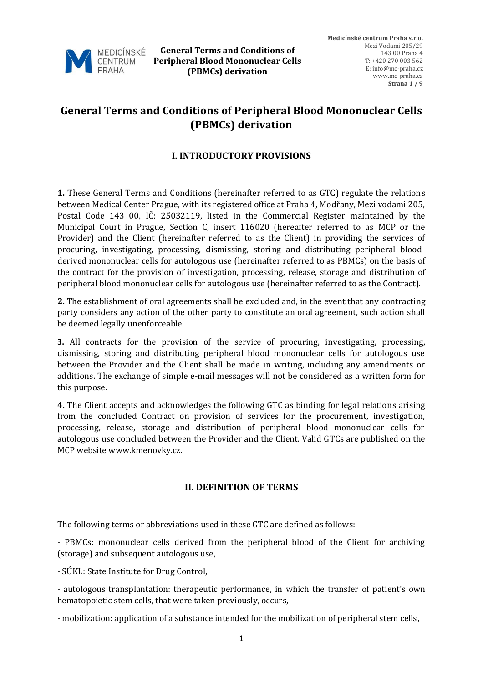

# **General Terms and Conditions of Peripheral Blood Mononuclear Cells (PBMCs) derivation**

## **I. INTRODUCTORY PROVISIONS**

**1.** These General Terms and Conditions (hereinafter referred to as GTC) regulate the relations between Medical Center Prague, with its registered office at Praha 4, Modřany, Mezi vodami 205, Postal Code 143 00, IČ: 25032119, listed in the Commercial Register maintained by the Municipal Court in Prague, Section C, insert 116020 (hereafter referred to as MCP or the Provider) and the Client (hereinafter referred to as the Client) in providing the services of procuring, investigating, processing, dismissing, storing and distributing peripheral bloodderived mononuclear cells for autologous use (hereinafter referred to as PBMCs) on the basis of the contract for the provision of investigation, processing, release, storage and distribution of peripheral blood mononuclear cells for autologous use (hereinafter referred to as the Contract).

**2.** The establishment of oral agreements shall be excluded and, in the event that any contracting party considers any action of the other party to constitute an oral agreement, such action shall be deemed legally unenforceable.

**3.** All contracts for the provision of the service of procuring, investigating, processing, dismissing, storing and distributing peripheral blood mononuclear cells for autologous use between the Provider and the Client shall be made in writing, including any amendments or additions. The exchange of simple e-mail messages will not be considered as a written form for this purpose.

**4.** The Client accepts and acknowledges the following GTC as binding for legal relations arising from the concluded Contract on provision of services for the procurement, investigation, processing, release, storage and distribution of peripheral blood mononuclear cells for autologous use concluded between the Provider and the Client. Valid GTCs are published on the MCP website www.kmenovky.cz.

# **II. DEFINITION OF TERMS**

The following terms or abbreviations used in these GTC are defined as follows:

- PBMCs: mononuclear cells derived from the peripheral blood of the Client for archiving (storage) and subsequent autologous use,

- SÚKL: State Institute for Drug Control,

- autologous transplantation: therapeutic performance, in which the transfer of patient's own hematopoietic stem cells, that were taken previously, occurs,

- mobilization: application of a substance intended for the mobilization of peripheral stem cells,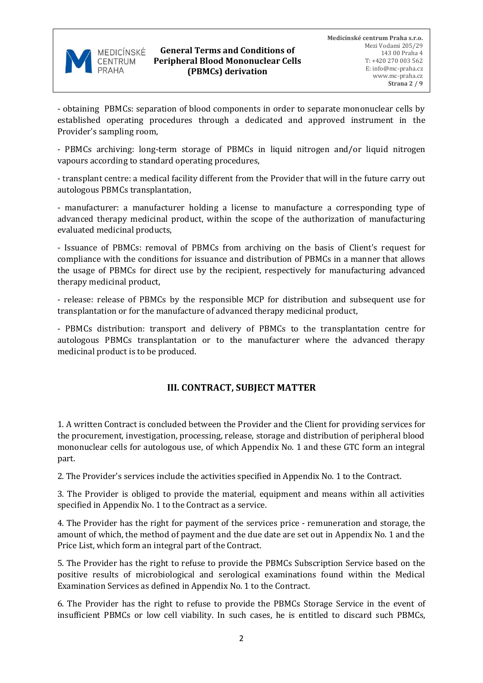

- obtaining PBMCs: separation of blood components in order to separate mononuclear cells by established operating procedures through a dedicated and approved instrument in the Provider's sampling room,

- PBMCs archiving: long-term storage of PBMCs in liquid nitrogen and/or liquid nitrogen vapours according to standard operating procedures,

- transplant centre: a medical facility different from the Provider that will in the future carry out autologous PBMCs transplantation,

- manufacturer: a manufacturer holding a license to manufacture a corresponding type of advanced therapy medicinal product, within the scope of the authorization of manufacturing evaluated medicinal products,

- Issuance of PBMCs: removal of PBMCs from archiving on the basis of Client's request for compliance with the conditions for issuance and distribution of PBMCs in a manner that allows the usage of PBMCs for direct use by the recipient, respectively for manufacturing advanced therapy medicinal product,

- release: release of PBMCs by the responsible MCP for distribution and subsequent use for transplantation or for the manufacture of advanced therapy medicinal product,

- PBMCs distribution: transport and delivery of PBMCs to the transplantation centre for autologous PBMCs transplantation or to the manufacturer where the advanced therapy medicinal product is to be produced.

# **III. CONTRACT, SUBJECT MATTER**

1. A written Contract is concluded between the Provider and the Client for providing services for the procurement, investigation, processing, release, storage and distribution of peripheral blood mononuclear cells for autologous use, of which Appendix No. 1 and these GTC form an integral part.

2. The Provider's services include the activities specified in Appendix No. 1 to the Contract.

3. The Provider is obliged to provide the material, equipment and means within all activities specified in Appendix No. 1 to the Contract as a service.

4. The Provider has the right for payment of the services price - remuneration and storage, the amount of which, the method of payment and the due date are set out in Appendix No. 1 and the Price List, which form an integral part of the Contract.

5. The Provider has the right to refuse to provide the PBMCs Subscription Service based on the positive results of microbiological and serological examinations found within the Medical Examination Services as defined in Appendix No. 1 to the Contract.

6. The Provider has the right to refuse to provide the PBMCs Storage Service in the event of insufficient PBMCs or low cell viability. In such cases, he is entitled to discard such PBMCs,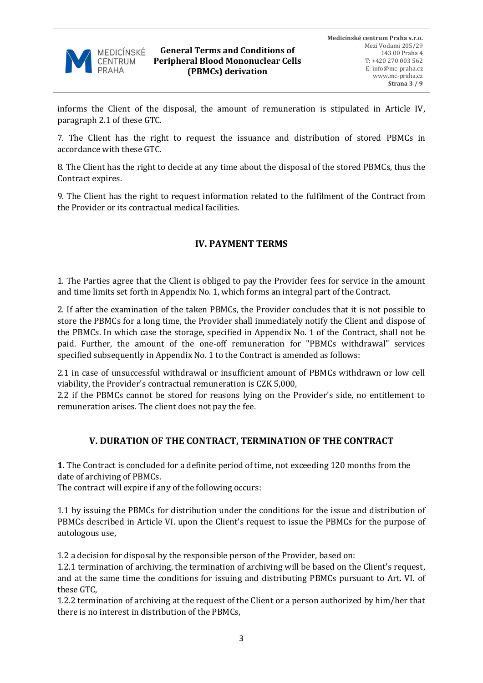

informs the Client of the disposal, the amount of remuneration is stipulated in Article IV, paragraph 2.1 of these GTC.

7. The Client has the right to request the issuance and distribution of stored PBMCs in accordance with these GTC.

8. The Client has the right to decide at any time about the disposal of the stored PBMCs, thus the Contract expires.

9. The Client has the right to request information related to the fulfilment of the Contract from the Provider or its contractual medical facilities.

# **IV. PAYMENT TERMS**

1. The Parties agree that the Client is obliged to pay the Provider fees for service in the amount and time limits set forth in Appendix No. 1, which forms an integral part of the Contract.

2. If after the examination of the taken PBMCs, the Provider concludes that it is not possible to store the PBMCs for a long time, the Provider shall immediately notify the Client and dispose of the PBMCs. In which case the storage, specified in Appendix No. 1 of the Contract, shall not be paid. Further, the amount of the one-off remuneration for "PBMCs withdrawal" services specified subsequently in Appendix No. 1 to the Contract is amended as follows:

2.1 in case of unsuccessful withdrawal or insufficient amount of PBMCs withdrawn or low cell viability, the Provider's contractual remuneration is CZK 5,000,

2.2 if the PBMCs cannot be stored for reasons lying on the Provider's side, no entitlement to remuneration arises. The client does not pay the fee.

### **V. DURATION OF THE CONTRACT, TERMINATION OF THE CONTRACT**

**1.** The Contract is concluded for a definite period of time, not exceeding 120 months from the date of archiving of PBMCs.

The contract will expire if any of the following occurs:

1.1 by issuing the PBMCs for distribution under the conditions for the issue and distribution of PBMCs described in Article VI. upon the Client's request to issue the PBMCs for the purpose of autologous use,

1.2 a decision for disposal by the responsible person of the Provider, based on:

1.2.1 termination of archiving, the termination of archiving will be based on the Client's request, and at the same time the conditions for issuing and distributing PBMCs pursuant to Art. VI. of these GTC,

1.2.2 termination of archiving at the request of the Client or a person authorized by him/her that there is no interest in distribution of the PBMCs,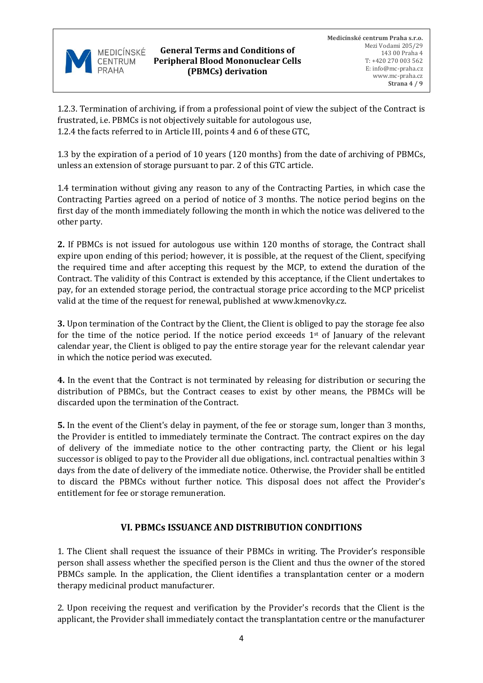

1.2.3. Termination of archiving, if from a professional point of view the subject of the Contract is frustrated, i.e. PBMCs is not objectively suitable for autologous use, 1.2.4 the facts referred to in Article III, points 4 and 6 of these GTC,

1.3 by the expiration of a period of 10 years (120 months) from the date of archiving of PBMCs, unless an extension of storage pursuant to par. 2 of this GTC article.

1.4 termination without giving any reason to any of the Contracting Parties, in which case the Contracting Parties agreed on a period of notice of 3 months. The notice period begins on the first day of the month immediately following the month in which the notice was delivered to the other party.

**2.** If PBMCs is not issued for autologous use within 120 months of storage, the Contract shall expire upon ending of this period; however, it is possible, at the request of the Client, specifying the required time and after accepting this request by the MCP, to extend the duration of the Contract. The validity of this Contract is extended by this acceptance, if the Client undertakes to pay, for an extended storage period, the contractual storage price according to the MCP pricelist valid at the time of the request for renewal, published at www.kmenovky.cz.

**3.** Upon termination of the Contract by the Client, the Client is obliged to pay the storage fee also for the time of the notice period. If the notice period exceeds  $1<sup>st</sup>$  of January of the relevant calendar year, the Client is obliged to pay the entire storage year for the relevant calendar year in which the notice period was executed.

**4.** In the event that the Contract is not terminated by releasing for distribution or securing the distribution of PBMCs, but the Contract ceases to exist by other means, the PBMCs will be discarded upon the termination of the Contract.

**5.** In the event of the Client's delay in payment, of the fee or storage sum, longer than 3 months, the Provider is entitled to immediately terminate the Contract. The contract expires on the day of delivery of the immediate notice to the other contracting party, the Client or his legal successor is obliged to pay to the Provider all due obligations, incl. contractual penalties within 3 days from the date of delivery of the immediate notice. Otherwise, the Provider shall be entitled to discard the PBMCs without further notice. This disposal does not affect the Provider's entitlement for fee or storage remuneration.

### **VI. PBMCs ISSUANCE AND DISTRIBUTION CONDITIONS**

1. The Client shall request the issuance of their PBMCs in writing. The Provider's responsible person shall assess whether the specified person is the Client and thus the owner of the stored PBMCs sample. In the application, the Client identifies a transplantation center or a modern therapy medicinal product manufacturer.

2. Upon receiving the request and verification by the Provider's records that the Client is the applicant, the Provider shall immediately contact the transplantation centre or the manufacturer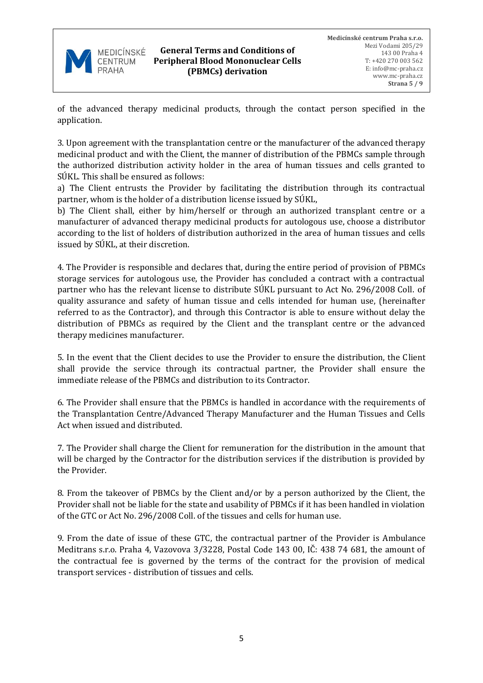

of the advanced therapy medicinal products, through the contact person specified in the application.

3. Upon agreement with the transplantation centre or the manufacturer of the advanced therapy medicinal product and with the Client, the manner of distribution of the PBMCs sample through the authorized distribution activity holder in the area of human tissues and cells granted to SÚKL. This shall be ensured as follows:

a) The Client entrusts the Provider by facilitating the distribution through its contractual partner, whom is the holder of a distribution license issued by SÚKL,

b) The Client shall, either by him/herself or through an authorized transplant centre or a manufacturer of advanced therapy medicinal products for autologous use, choose a distributor according to the list of holders of distribution authorized in the area of human tissues and cells issued by SÚKL, at their discretion.

4. The Provider is responsible and declares that, during the entire period of provision of PBMCs storage services for autologous use, the Provider has concluded a contract with a contractual partner who has the relevant license to distribute SÚKL pursuant to Act No. 296/2008 Coll. of quality assurance and safety of human tissue and cells intended for human use, (hereinafter referred to as the Contractor), and through this Contractor is able to ensure without delay the distribution of PBMCs as required by the Client and the transplant centre or the advanced therapy medicines manufacturer.

5. In the event that the Client decides to use the Provider to ensure the distribution, the Client shall provide the service through its contractual partner, the Provider shall ensure the immediate release of the PBMCs and distribution to its Contractor.

6. The Provider shall ensure that the PBMCs is handled in accordance with the requirements of the Transplantation Centre/Advanced Therapy Manufacturer and the Human Tissues and Cells Act when issued and distributed.

7. The Provider shall charge the Client for remuneration for the distribution in the amount that will be charged by the Contractor for the distribution services if the distribution is provided by the Provider.

8. From the takeover of PBMCs by the Client and/or by a person authorized by the Client, the Provider shall not be liable for the state and usability of PBMCs if it has been handled in violation of the GTC or Act No. 296/2008 Coll. of the tissues and cells for human use.

9. From the date of issue of these GTC, the contractual partner of the Provider is Ambulance Meditrans s.r.o. Praha 4, Vazovova 3/3228, Postal Code 143 00, IČ: 438 74 681, the amount of the contractual fee is governed by the terms of the contract for the provision of medical transport services - distribution of tissues and cells.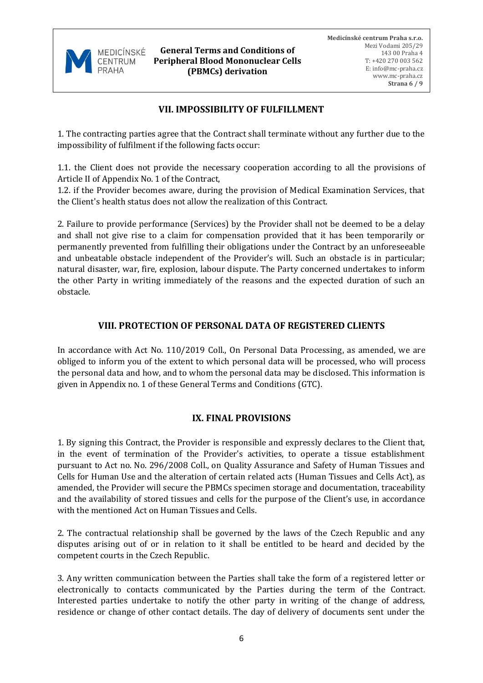

**General Terms and Conditions of Peripheral Blood Mononuclear Cells (PBMCs) derivation**

# **VII. IMPOSSIBILITY OF FULFILLMENT**

1. The contracting parties agree that the Contract shall terminate without any further due to the impossibility of fulfilment if the following facts occur:

1.1. the Client does not provide the necessary cooperation according to all the provisions of Article II of Appendix No. 1 of the Contract,

1.2. if the Provider becomes aware, during the provision of Medical Examination Services, that the Client's health status does not allow the realization of this Contract.

2. Failure to provide performance (Services) by the Provider shall not be deemed to be a delay and shall not give rise to a claim for compensation provided that it has been temporarily or permanently prevented from fulfilling their obligations under the Contract by an unforeseeable and unbeatable obstacle independent of the Provider's will. Such an obstacle is in particular; natural disaster, war, fire, explosion, labour dispute. The Party concerned undertakes to inform the other Party in writing immediately of the reasons and the expected duration of such an obstacle.

### **VIII. PROTECTION OF PERSONAL DATA OF REGISTERED CLIENTS**

In accordance with Act No. 110/2019 Coll., On Personal Data Processing, as amended, we are obliged to inform you of the extent to which personal data will be processed, who will process the personal data and how, and to whom the personal data may be disclosed. This information is given in Appendix no. 1 of these General Terms and Conditions (GTC).

### **IX. FINAL PROVISIONS**

1. By signing this Contract, the Provider is responsible and expressly declares to the Client that, in the event of termination of the Provider's activities, to operate a tissue establishment pursuant to Act no. No. 296/2008 Coll., on Quality Assurance and Safety of Human Tissues and Cells for Human Use and the alteration of certain related acts (Human Tissues and Cells Act), as amended, the Provider will secure the PBMCs specimen storage and documentation, traceability and the availability of stored tissues and cells for the purpose of the Client's use, in accordance with the mentioned Act on Human Tissues and Cells.

2. The contractual relationship shall be governed by the laws of the Czech Republic and any disputes arising out of or in relation to it shall be entitled to be heard and decided by the competent courts in the Czech Republic.

3. Any written communication between the Parties shall take the form of a registered letter or electronically to contacts communicated by the Parties during the term of the Contract. Interested parties undertake to notify the other party in writing of the change of address, residence or change of other contact details. The day of delivery of documents sent under the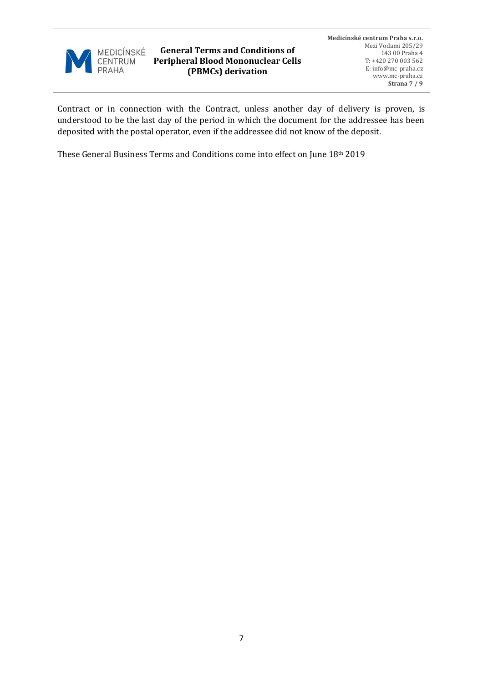

Contract or in connection with the Contract, unless another day of delivery is proven, is understood to be the last day of the period in which the document for the addressee has been deposited with the postal operator, even if the addressee did not know of the deposit.

These General Business Terms and Conditions come into effect on June 18th 2019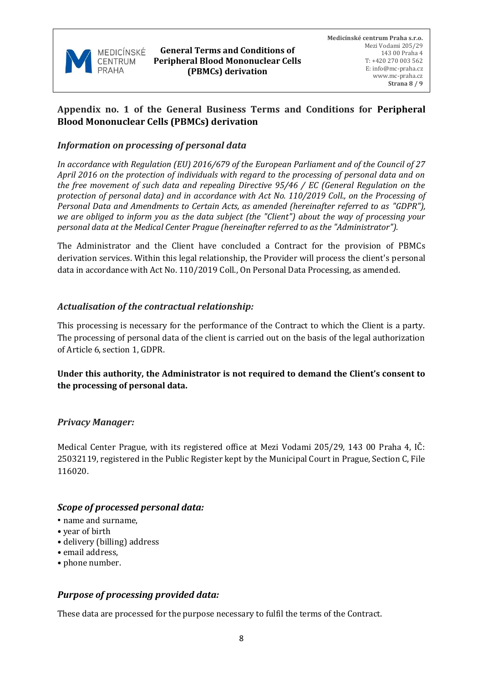

# **Appendix no. 1 of the General Business Terms and Conditions for Peripheral Blood Mononuclear Cells (PBMCs) derivation**

## *Information on processing of personal data*

*In accordance with Regulation (EU) 2016/679 of the European Parliament and of the Council of 27 April 2016 on the protection of individuals with regard to the processing of personal data and on the free movement of such data and repealing Directive 95/46 / EC (General Regulation on the protection of personal data) and in accordance with Act No. 110/2019 Coll., on the Processing of Personal Data and Amendments to Certain Acts, as amended (hereinafter referred to as "GDPR"), we are obliged to inform you as the data subject (the "Client") about the way of processing your personal data at the Medical Center Prague (hereinafter referred to as the "Administrator").* 

The Administrator and the Client have concluded a Contract for the provision of PBMCs derivation services. Within this legal relationship, the Provider will process the client's personal data in accordance with Act No. 110/2019 Coll., On Personal Data Processing, as amended.

# *Actualisation of the contractual relationship:*

This processing is necessary for the performance of the Contract to which the Client is a party. The processing of personal data of the client is carried out on the basis of the legal authorization of Article 6, section 1, GDPR.

# **Under this authority, the Administrator is not required to demand the Client's consent to the processing of personal data.**

### *Privacy Manager:*

Medical Center Prague, with its registered office at Mezi Vodami 205/29, 143 00 Praha 4, IČ: 25032119, registered in the Public Register kept by the Municipal Court in Prague, Section C, File 116020.

# *Scope of processed personal data:*

- name and surname,
- year of birth
- delivery (billing) address
- email address,
- phone number.

### *Purpose of processing provided data:*

These data are processed for the purpose necessary to fulfil the terms of the Contract.